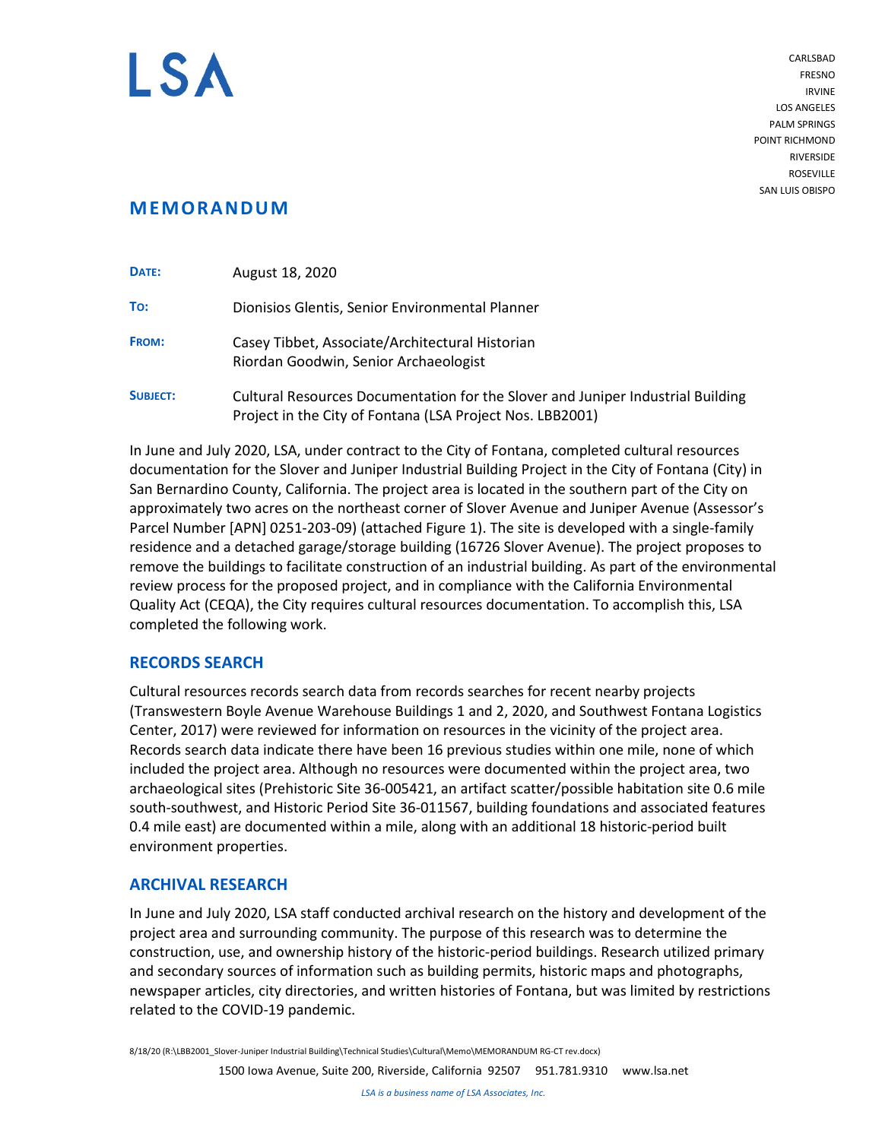

CARLSBAD FRESNO IRVINE LOS ANGELES PALM SPRINGS POINT RICHMOND RIVERSIDE **ROSEVILLE** SAN LUIS OBISPO

# **MEMORANDUM**

| DATE:           | August 18, 2020                                                                                                                              |
|-----------------|----------------------------------------------------------------------------------------------------------------------------------------------|
| To:             | Dionisios Glentis, Senior Environmental Planner                                                                                              |
| FROM:           | Casey Tibbet, Associate/Architectural Historian<br>Riordan Goodwin, Senior Archaeologist                                                     |
| <b>SUBJECT:</b> | Cultural Resources Documentation for the Slover and Juniper Industrial Building<br>Project in the City of Fontana (LSA Project Nos. LBB2001) |

In June and July 2020, LSA, under contract to the City of Fontana, completed cultural resources documentation for the Slover and Juniper Industrial Building Project in the City of Fontana (City) in San Bernardino County, California. The project area is located in the southern part of the City on approximately two acres on the northeast corner of Slover Avenue and Juniper Avenue (Assessor's Parcel Number [APN] 0251-203-09) (attached Figure 1). The site is developed with a single-family residence and a detached garage/storage building (16726 Slover Avenue). The project proposes to remove the buildings to facilitate construction of an industrial building. As part of the environmental review process for the proposed project, and in compliance with the California Environmental Quality Act (CEQA), the City requires cultural resources documentation. To accomplish this, LSA completed the following work.

## **RECORDS SEARCH**

Cultural resources records search data from records searches for recent nearby projects (Transwestern Boyle Avenue Warehouse Buildings 1 and 2, 2020, and Southwest Fontana Logistics Center, 2017) were reviewed for information on resources in the vicinity of the project area. Records search data indicate there have been 16 previous studies within one mile, none of which included the project area. Although no resources were documented within the project area, two archaeological sites (Prehistoric Site 36-005421, an artifact scatter/possible habitation site 0.6 mile south-southwest, and Historic Period Site 36-011567, building foundations and associated features 0.4 mile east) are documented within a mile, along with an additional 18 historic-period built environment properties.

## **ARCHIVAL RESEARCH**

In June and July 2020, LSA staff conducted archival research on the history and development of the project area and surrounding community. The purpose of this research was to determine the construction, use, and ownership history of the historic-period buildings. Research utilized primary and secondary sources of information such as building permits, historic maps and photographs, newspaper articles, city directories, and written histories of Fontana, but was limited by restrictions related to the COVID-19 pandemic.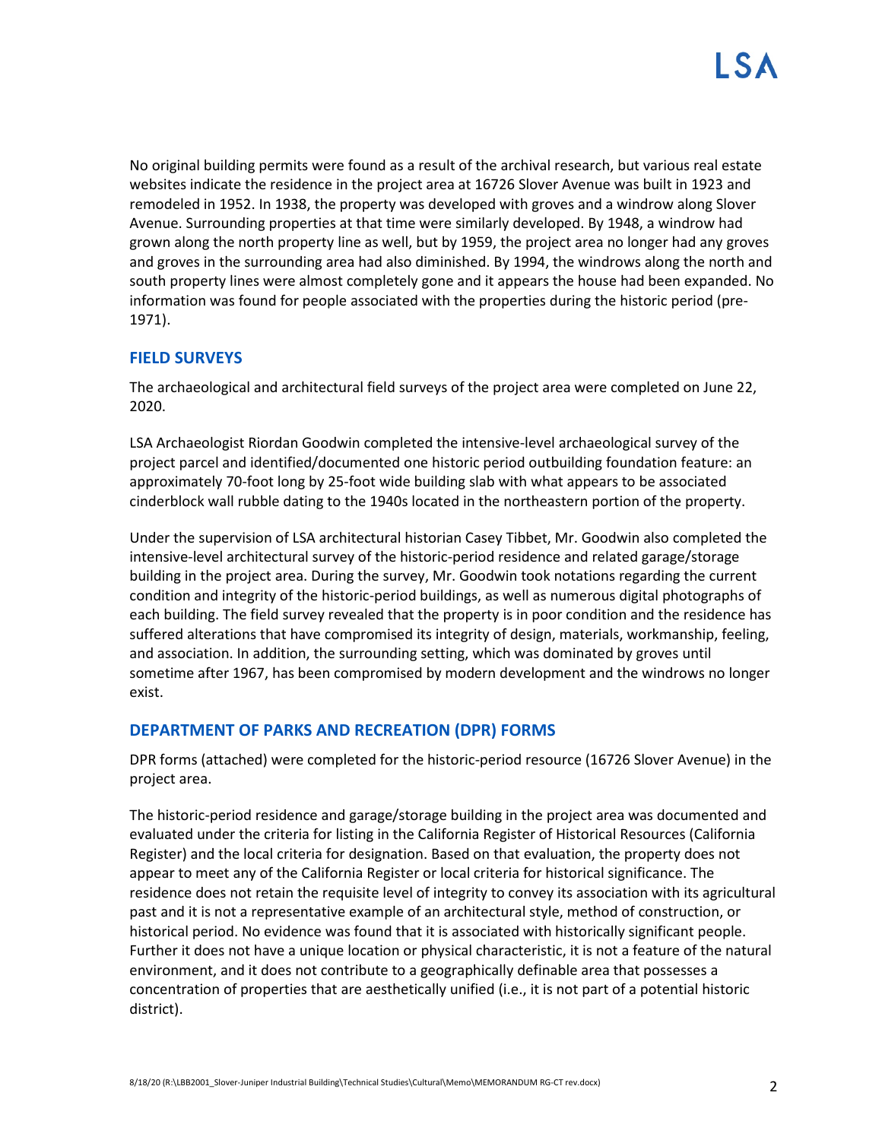No original building permits were found as a result of the archival research, but various real estate websites indicate the residence in the project area at 16726 Slover Avenue was built in 1923 and remodeled in 1952. In 1938, the property was developed with groves and a windrow along Slover Avenue. Surrounding properties at that time were similarly developed. By 1948, a windrow had grown along the north property line as well, but by 1959, the project area no longer had any groves and groves in the surrounding area had also diminished. By 1994, the windrows along the north and south property lines were almost completely gone and it appears the house had been expanded. No information was found for people associated with the properties during the historic period (pre-1971).

### **FIELD SURVEYS**

The archaeological and architectural field surveys of the project area were completed on June 22, 2020.

LSA Archaeologist Riordan Goodwin completed the intensive-level archaeological survey of the project parcel and identified/documented one historic period outbuilding foundation feature: an approximately 70-foot long by 25-foot wide building slab with what appears to be associated cinderblock wall rubble dating to the 1940s located in the northeastern portion of the property.

Under the supervision of LSA architectural historian Casey Tibbet, Mr. Goodwin also completed the intensive-level architectural survey of the historic-period residence and related garage/storage building in the project area. During the survey, Mr. Goodwin took notations regarding the current condition and integrity of the historic-period buildings, as well as numerous digital photographs of each building. The field survey revealed that the property is in poor condition and the residence has suffered alterations that have compromised its integrity of design, materials, workmanship, feeling, and association. In addition, the surrounding setting, which was dominated by groves until sometime after 1967, has been compromised by modern development and the windrows no longer exist.

### **DEPARTMENT OF PARKS AND RECREATION (DPR) FORMS**

DPR forms (attached) were completed for the historic-period resource (16726 Slover Avenue) in the project area.

The historic-period residence and garage/storage building in the project area was documented and evaluated under the criteria for listing in the California Register of Historical Resources (California Register) and the local criteria for designation. Based on that evaluation, the property does not appear to meet any of the California Register or local criteria for historical significance. The residence does not retain the requisite level of integrity to convey its association with its agricultural past and it is not a representative example of an architectural style, method of construction, or historical period. No evidence was found that it is associated with historically significant people. Further it does not have a unique location or physical characteristic, it is not a feature of the natural environment, and it does not contribute to a geographically definable area that possesses a concentration of properties that are aesthetically unified (i.e., it is not part of a potential historic district).